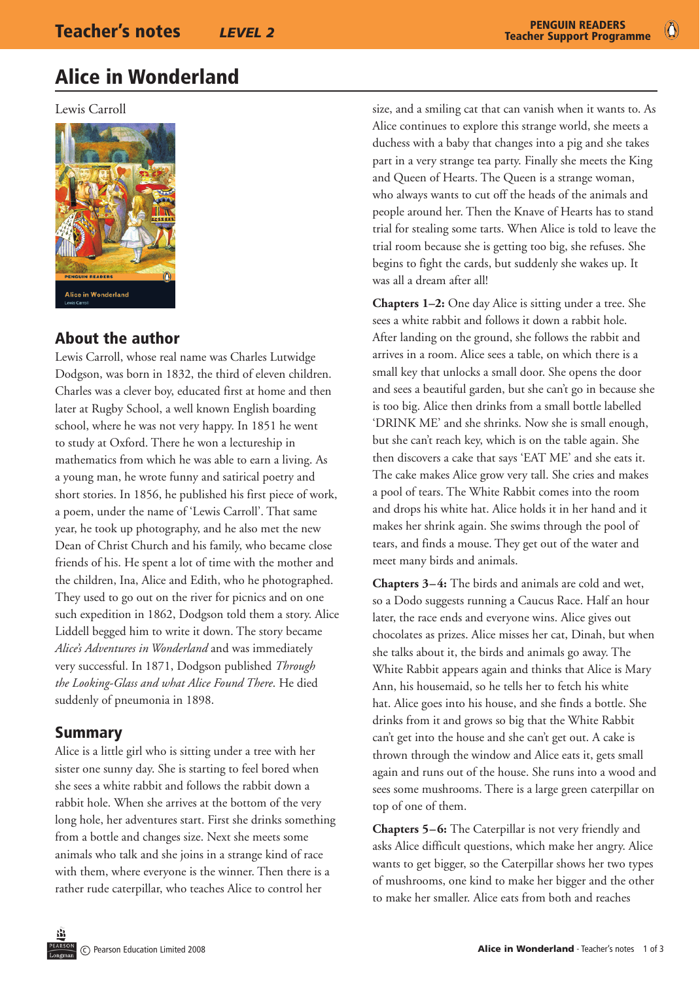$\bullet$ 

## Alice in Wonderland

Lewis Carroll



## About the author

Lewis Carroll, whose real name was Charles Lutwidge Dodgson, was born in 1832, the third of eleven children. Charles was a clever boy, educated first at home and then later at Rugby School, a well known English boarding school, where he was not very happy. In 1851 he went to study at Oxford. There he won a lectureship in mathematics from which he was able to earn a living. As a young man, he wrote funny and satirical poetry and short stories. In 1856, he published his first piece of work, a poem, under the name of 'Lewis Carroll'. That same year, he took up photography, and he also met the new Dean of Christ Church and his family, who became close friends of his. He spent a lot of time with the mother and the children, Ina, Alice and Edith, who he photographed. They used to go out on the river for picnics and on one such expedition in 1862, Dodgson told them a story. Alice Liddell begged him to write it down. The story became *Alice's Adventures in Wonderland* and was immediately very successful. In 1871, Dodgson published *Through the Looking-Glass and what Alice Found There*. He died suddenly of pneumonia in 1898.

#### Summary

Alice is a little girl who is sitting under a tree with her sister one sunny day. She is starting to feel bored when she sees a white rabbit and follows the rabbit down a rabbit hole. When she arrives at the bottom of the very long hole, her adventures start. First she drinks something from a bottle and changes size. Next she meets some animals who talk and she joins in a strange kind of race with them, where everyone is the winner. Then there is a rather rude caterpillar, who teaches Alice to control her

size, and a smiling cat that can vanish when it wants to. As Alice continues to explore this strange world, she meets a duchess with a baby that changes into a pig and she takes part in a very strange tea party. Finally she meets the King and Queen of Hearts. The Queen is a strange woman, who always wants to cut off the heads of the animals and people around her. Then the Knave of Hearts has to stand trial for stealing some tarts. When Alice is told to leave the trial room because she is getting too big, she refuses. She begins to fight the cards, but suddenly she wakes up. It was all a dream after all!

**Chapters 1–2:** One day Alice is sitting under a tree. She sees a white rabbit and follows it down a rabbit hole. After landing on the ground, she follows the rabbit and arrives in a room. Alice sees a table, on which there is a small key that unlocks a small door. She opens the door and sees a beautiful garden, but she can't go in because she is too big. Alice then drinks from a small bottle labelled 'DRINK ME' and she shrinks. Now she is small enough, but she can't reach key, which is on the table again. She then discovers a cake that says 'EAT ME' and she eats it. The cake makes Alice grow very tall. She cries and makes a pool of tears. The White Rabbit comes into the room and drops his white hat. Alice holds it in her hand and it makes her shrink again. She swims through the pool of tears, and finds a mouse. They get out of the water and meet many birds and animals.

**Chapters 3–4:** The birds and animals are cold and wet, so a Dodo suggests running a Caucus Race. Half an hour later, the race ends and everyone wins. Alice gives out chocolates as prizes. Alice misses her cat, Dinah, but when she talks about it, the birds and animals go away. The White Rabbit appears again and thinks that Alice is Mary Ann, his housemaid, so he tells her to fetch his white hat. Alice goes into his house, and she finds a bottle. She drinks from it and grows so big that the White Rabbit can't get into the house and she can't get out. A cake is thrown through the window and Alice eats it, gets small again and runs out of the house. She runs into a wood and sees some mushrooms. There is a large green caterpillar on top of one of them.

**Chapters 5–6:** The Caterpillar is not very friendly and asks Alice difficult questions, which make her angry. Alice wants to get bigger, so the Caterpillar shows her two types of mushrooms, one kind to make her bigger and the other to make her smaller. Alice eats from both and reaches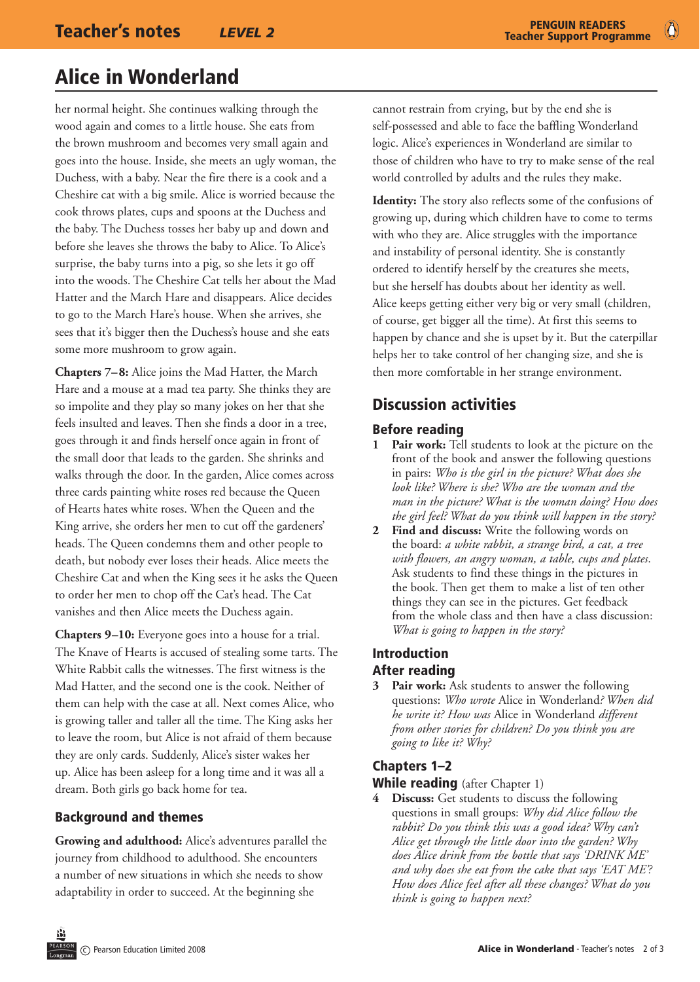## Alice in Wonderland

her normal height. She continues walking through the wood again and comes to a little house. She eats from the brown mushroom and becomes very small again and goes into the house. Inside, she meets an ugly woman, the Duchess, with a baby. Near the fire there is a cook and a Cheshire cat with a big smile. Alice is worried because the cook throws plates, cups and spoons at the Duchess and the baby. The Duchess tosses her baby up and down and before she leaves she throws the baby to Alice. To Alice's surprise, the baby turns into a pig, so she lets it go off into the woods. The Cheshire Cat tells her about the Mad Hatter and the March Hare and disappears. Alice decides to go to the March Hare's house. When she arrives, she sees that it's bigger then the Duchess's house and she eats some more mushroom to grow again.

**Chapters 7–8:** Alice joins the Mad Hatter, the March Hare and a mouse at a mad tea party. She thinks they are so impolite and they play so many jokes on her that she feels insulted and leaves. Then she finds a door in a tree, goes through it and finds herself once again in front of the small door that leads to the garden. She shrinks and walks through the door. In the garden, Alice comes across three cards painting white roses red because the Queen of Hearts hates white roses. When the Queen and the King arrive, she orders her men to cut off the gardeners' heads. The Queen condemns them and other people to death, but nobody ever loses their heads. Alice meets the Cheshire Cat and when the King sees it he asks the Queen to order her men to chop off the Cat's head. The Cat vanishes and then Alice meets the Duchess again.

**Chapters 9–10:** Everyone goes into a house for a trial. The Knave of Hearts is accused of stealing some tarts. The White Rabbit calls the witnesses. The first witness is the Mad Hatter, and the second one is the cook. Neither of them can help with the case at all. Next comes Alice, who is growing taller and taller all the time. The King asks her to leave the room, but Alice is not afraid of them because they are only cards. Suddenly, Alice's sister wakes her up. Alice has been asleep for a long time and it was all a dream. Both girls go back home for tea.

#### Background and themes

**Growing and adulthood:** Alice's adventures parallel the journey from childhood to adulthood. She encounters a number of new situations in which she needs to show adaptability in order to succeed. At the beginning she

cannot restrain from crying, but by the end she is self-possessed and able to face the baffling Wonderland logic. Alice's experiences in Wonderland are similar to those of children who have to try to make sense of the real world controlled by adults and the rules they make.

**Identity:** The story also reflects some of the confusions of growing up, during which children have to come to terms with who they are. Alice struggles with the importance and instability of personal identity. She is constantly ordered to identify herself by the creatures she meets, but she herself has doubts about her identity as well. Alice keeps getting either very big or very small (children, of course, get bigger all the time). At first this seems to happen by chance and she is upset by it. But the caterpillar helps her to take control of her changing size, and she is then more comfortable in her strange environment.

## Discussion activities

#### Before reading

- Pair work: Tell students to look at the picture on the front of the book and answer the following questions in pairs: *Who is the girl in the picture? What does she look like? Where is she? Who are the woman and the man in the picture? What is the woman doing? How does the girl feel? What do you think will happen in the story?*
- **2 Find and discuss:** Write the following words on the board: *a white rabbit, a strange bird, a cat, a tree with flowers, an angry woman, a table, cups and plates*. Ask students to find these things in the pictures in the book. Then get them to make a list of ten other things they can see in the pictures. Get feedback from the whole class and then have a class discussion: *What is going to happen in the story?*

#### Introduction After reading

Pair work: Ask students to answer the following questions: *Who wrote* Alice in Wonderland*? When did he write it? How was* Alice in Wonderland *different from other stories for children? Do you think you are going to like it? Why?* 

#### Chapters 1–2

#### While reading (after Chapter 1)

**4 Discuss:** Get students to discuss the following questions in small groups: *Why did Alice follow the rabbit? Do you think this was a good idea? Why can't Alice get through the little door into the garden? Why does Alice drink from the bottle that says 'DRINK ME' and why does she eat from the cake that says 'EAT ME'? How does Alice feel after all these changes? What do you think is going to happen next?*